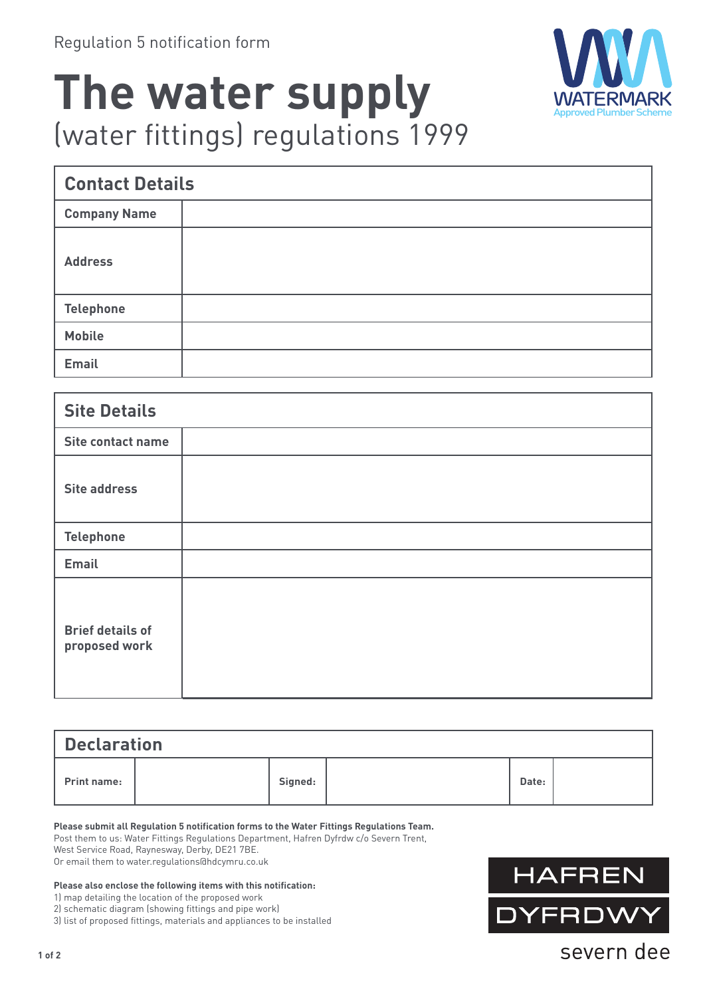

## **The water supply** (water fittings) regulations 1999

| <b>Contact Details</b> |  |  |  |  |
|------------------------|--|--|--|--|
| <b>Company Name</b>    |  |  |  |  |
| <b>Address</b>         |  |  |  |  |
| <b>Telephone</b>       |  |  |  |  |
| <b>Mobile</b>          |  |  |  |  |
| <b>Email</b>           |  |  |  |  |

| <b>Site Details</b>                      |  |
|------------------------------------------|--|
| Site contact name                        |  |
| <b>Site address</b>                      |  |
| <b>Telephone</b>                         |  |
| <b>Email</b>                             |  |
| <b>Brief details of</b><br>proposed work |  |

| Declaration        |  |         |  |       |  |  |  |  |
|--------------------|--|---------|--|-------|--|--|--|--|
| <b>Print name:</b> |  | Signed: |  | Date: |  |  |  |  |

**Please submit all Regulation 5 notification forms to the Water Fittings Regulations Team.**

Post them to us: Water Fittings Regulations Department, Hafren Dyfrdw c/o Severn Trent,

West Service Road, Raynesway, Derby, DE21 7BE.

Or email them to water.regulations@hdcymru.co.uk

## **Please also enclose the following items with this notification:**

1) map detailing the location of the proposed work

2) schematic diagram (showing fittings and pipe work)

3) list of proposed fittings, materials and appliances to be installed